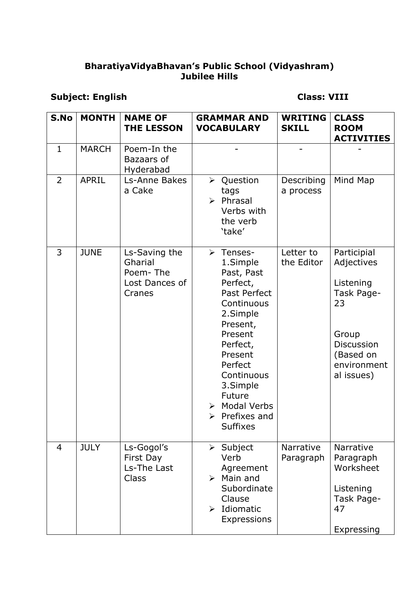#### **BharatiyaVidyaBhavan's Public School (Vidyashram) Jubilee Hills**

## **Subject: English Class: VIII**

| S.No           | <b>MONTH</b> | <b>NAME OF</b><br><b>THE LESSON</b>                              | <b>GRAMMAR AND</b><br><b>VOCABULARY</b>                                                                                                                                                                                                    | <b>WRITING</b><br><b>SKILL</b> | <b>CLASS</b><br><b>ROOM</b><br><b>ACTIVITIES</b>                                                                                   |
|----------------|--------------|------------------------------------------------------------------|--------------------------------------------------------------------------------------------------------------------------------------------------------------------------------------------------------------------------------------------|--------------------------------|------------------------------------------------------------------------------------------------------------------------------------|
| $\mathbf{1}$   | <b>MARCH</b> | Poem-In the<br>Bazaars of<br>Hyderabad                           |                                                                                                                                                                                                                                            |                                |                                                                                                                                    |
| $\overline{2}$ | <b>APRIL</b> | Ls-Anne Bakes<br>a Cake                                          | ▶ Question<br>tags<br>$\triangleright$ Phrasal<br>Verbs with<br>the verb<br>'take'                                                                                                                                                         | Describing<br>a process        | Mind Map                                                                                                                           |
| 3              | <b>JUNE</b>  | Ls-Saving the<br>Gharial<br>Poem-The<br>Lost Dances of<br>Cranes | > Tenses-<br>1.Simple<br>Past, Past<br>Perfect,<br>Past Perfect<br>Continuous<br>2.Simple<br>Present,<br>Present<br>Perfect,<br>Present<br>Perfect<br>Continuous<br>3.Simple<br>Future<br>> Modal Verbs<br>Prefixes and<br><b>Suffixes</b> | Letter to<br>the Editor        | Participial<br>Adjectives<br>Listening<br>Task Page-<br>23<br>Group<br><b>Discussion</b><br>(Based on<br>environment<br>al issues) |
| $\overline{4}$ | <b>JULY</b>  | Ls-Gogol's<br>First Day<br>Ls-The Last<br>Class                  | $\triangleright$ Subject<br>Verb<br>Agreement<br>$\triangleright$ Main and<br>Subordinate<br>Clause<br>$\triangleright$ Idiomatic<br>Expressions                                                                                           | Narrative<br>Paragraph         | <b>Narrative</b><br>Paragraph<br>Worksheet<br>Listening<br>Task Page-<br>47<br>Expressing                                          |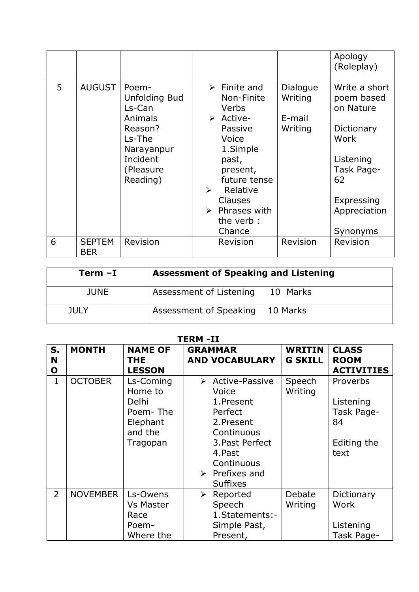|   |                             |                                                                                                                            |                       |                                                                                                                                                                                                                     |                                          | Apology<br>(Roleplay)                                                                                                                     |
|---|-----------------------------|----------------------------------------------------------------------------------------------------------------------------|-----------------------|---------------------------------------------------------------------------------------------------------------------------------------------------------------------------------------------------------------------|------------------------------------------|-------------------------------------------------------------------------------------------------------------------------------------------|
| 5 | <b>AUGUST</b>               | Poem-<br><b>Unfolding Bud</b><br>Ls-Can<br>Animals<br>Reason?<br>Ls-The<br>Narayanpur<br>Incident<br>(Pleasure<br>Reading) | $\blacktriangleright$ | $\triangleright$ Finite and<br>Non-Finite<br>Verbs<br>> Active-<br>Passive<br>Voice<br>1.Simple<br>past,<br>present,<br>future tense<br>Relative<br>Clauses<br>$\triangleright$ Phrases with<br>the verb:<br>Chance | Dialogue<br>Writing<br>E-mail<br>Writing | Write a short<br>poem based<br>on Nature<br>Dictionary<br>Work<br>Listening<br>Task Page-<br>62<br>Expressing<br>Appreciation<br>Synonyms |
| 6 | <b>SEPTEM</b><br><b>BER</b> | Revision                                                                                                                   |                       | Revision                                                                                                                                                                                                            | Revision                                 | Revision                                                                                                                                  |

| Term -I     | <b>Assessment of Speaking and Listening</b> |  |
|-------------|---------------------------------------------|--|
| <b>JUNE</b> | Assessment of Listening 10 Marks            |  |
| <b>JULY</b> | Assessment of Speaking 10 Marks             |  |

|                        | <b>TERM -II</b> |                                                                              |                                                                                                                                                                             |                                 |                                                                  |  |
|------------------------|-----------------|------------------------------------------------------------------------------|-----------------------------------------------------------------------------------------------------------------------------------------------------------------------------|---------------------------------|------------------------------------------------------------------|--|
| S.<br>N<br>$\mathbf o$ | <b>MONTH</b>    | <b>NAME OF</b><br><b>THE</b><br><b>LESSON</b>                                | <b>GRAMMAR</b><br><b>AND VOCABULARY</b>                                                                                                                                     | <b>WRITIN</b><br><b>G SKILL</b> | <b>CLASS</b><br><b>ROOM</b><br><b>ACTIVITIES</b>                 |  |
| $\mathbf{1}$           | <b>OCTOBER</b>  | Ls-Coming<br>Home to<br>Delhi<br>Poem-The<br>Elephant<br>and the<br>Tragopan | > Active-Passive<br>Voice<br>1.Present<br>Perfect<br>2.Present<br>Continuous<br>3. Past Perfect<br>4.Past<br>Continuous<br>$\triangleright$ Prefixes and<br><b>Suffixes</b> | Speech<br>Writing               | Proverbs<br>Listening<br>Task Page-<br>84<br>Editing the<br>text |  |
| $\overline{2}$         | <b>NOVEMBER</b> | Ls-Owens<br><b>Vs Master</b><br>Race<br>Poem-<br>Where the                   | Reported<br>➤<br>Speech<br>1. Statements: -<br>Simple Past,<br>Present,                                                                                                     | Debate<br>Writing               | Dictionary<br>Work<br>Listening<br>Task Page-                    |  |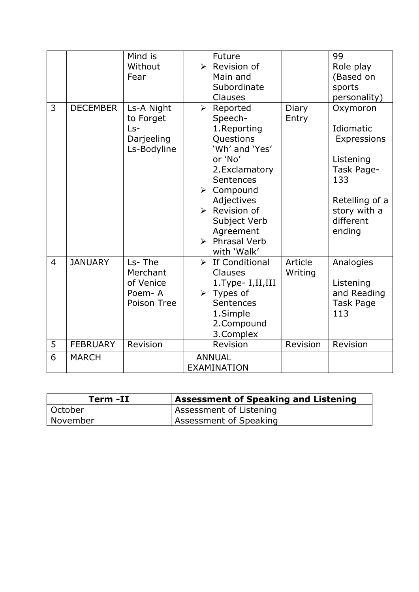|                |                 | Mind is<br>Without<br>Fear                                    | <b>Future</b><br>$\triangleright$ Revision of<br>Main and<br>Subordinate<br>Clauses                                                                                                                                                                    |                    | 99<br>Role play<br>(Based on<br>sports<br>personality)                                                                          |
|----------------|-----------------|---------------------------------------------------------------|--------------------------------------------------------------------------------------------------------------------------------------------------------------------------------------------------------------------------------------------------------|--------------------|---------------------------------------------------------------------------------------------------------------------------------|
| 3              | <b>DECEMBER</b> | Ls-A Night<br>to Forget<br>$Ls-$<br>Darjeeling<br>Ls-Bodyline | $\triangleright$ Reported<br>Speech-<br>1.Reporting<br>Questions<br>'Wh' and 'Yes'<br>or 'No'<br>2. Exclamatory<br>Sentences<br>> Compound<br>Adjectives<br>$\triangleright$ Revision of<br>Subject Verb<br>Agreement<br>> Phrasal Verb<br>with 'Walk' | Diary<br>Entry     | Oxymoron<br>Idiomatic<br>Expressions<br>Listening<br>Task Page-<br>133<br>Retelling of a<br>story with a<br>different<br>ending |
| $\overline{4}$ | <b>JANUARY</b>  | Ls-The<br>Merchant<br>of Venice<br>Poem-A<br>Poison Tree      | $\triangleright$ If Conditional<br><b>Clauses</b><br>1. Type- I, II, III<br>$\triangleright$ Types of<br>Sentences<br>1.Simple<br>2.Compound<br>3.Complex                                                                                              | Article<br>Writing | Analogies<br>Listening<br>and Reading<br>Task Page<br>113                                                                       |
| 5              | <b>FEBRUARY</b> | Revision                                                      | Revision                                                                                                                                                                                                                                               | Revision           | Revision                                                                                                                        |
| 6              | <b>MARCH</b>    |                                                               | <b>ANNUAL</b><br><b>EXAMINATION</b>                                                                                                                                                                                                                    |                    |                                                                                                                                 |

| Term -II | <b>Assessment of Speaking and Listening</b> |  |
|----------|---------------------------------------------|--|
| October  | Assessment of Listening                     |  |
| November | Assessment of Speaking                      |  |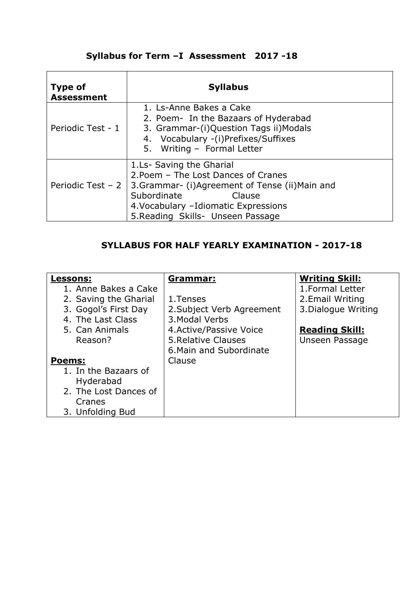## **Syllabus for Term –I Assessment 2017 -18**

| <b>Type of</b><br><b>Assessment</b> | <b>Syllabus</b>                                                                                                                                                                                                            |
|-------------------------------------|----------------------------------------------------------------------------------------------------------------------------------------------------------------------------------------------------------------------------|
| Periodic Test - 1                   | 1. Ls-Anne Bakes a Cake<br>2. Poem- In the Bazaars of Hyderabad<br>3. Grammar-(i)Question Tags ii)Modals<br>4. Vocabulary -(i)Prefixes/Suffixes<br>5. Writing - Formal Letter                                              |
| Periodic Test - 2                   | 1.Ls- Saving the Gharial<br>2. Poem - The Lost Dances of Cranes<br>3. Grammar- (i) Agreement of Tense (ii) Main and<br>Subordinate<br>Clause<br>4. Vocabulary - Idiomatic Expressions<br>5. Reading Skills- Unseen Passage |

#### **SYLLABUS FOR HALF YEARLY EXAMINATION - 2017-18**

| <b>Lessons:</b>       | <u>Grammar:</u>           | <b>Writing Skill:</b> |
|-----------------------|---------------------------|-----------------------|
| 1. Anne Bakes a Cake  |                           | 1. Formal Letter      |
| 2. Saving the Gharial | 1. Tenses                 | 2. Email Writing      |
| 3. Gogol's First Day  | 2. Subject Verb Agreement | 3. Dialogue Writing   |
| 4. The Last Class     | 3. Modal Verbs            |                       |
| 5. Can Animals        | 4. Active/Passive Voice   | <b>Reading Skill:</b> |
| Reason?               | 5. Relative Clauses       | Unseen Passage        |
|                       | 6. Main and Subordinate   |                       |
| <b>Poems:</b>         | Clause                    |                       |
| 1. In the Bazaars of  |                           |                       |
| Hyderabad             |                           |                       |
| 2. The Lost Dances of |                           |                       |
| Cranes                |                           |                       |
| 3. Unfolding Bud      |                           |                       |